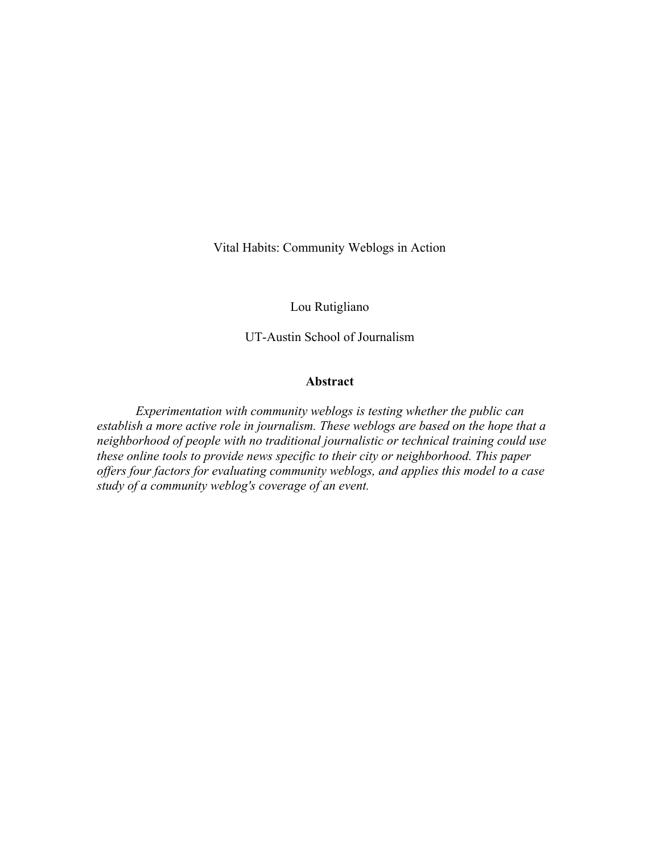Vital Habits: Community Weblogs in Action

Lou Rutigliano

UT-Austin School of Journalism

# Abstract

*Experimentation with community weblogs is testing whether the public can establish a more active role in journalism. These weblogs are based on the hope that a neighborhood of people with no traditional journalistic or technical training could use these online tools to provide news specific to their city or neighborhood. This paper offers four factors for evaluating community weblogs, and applies this model to a case study of a community weblog's coverage of an event.*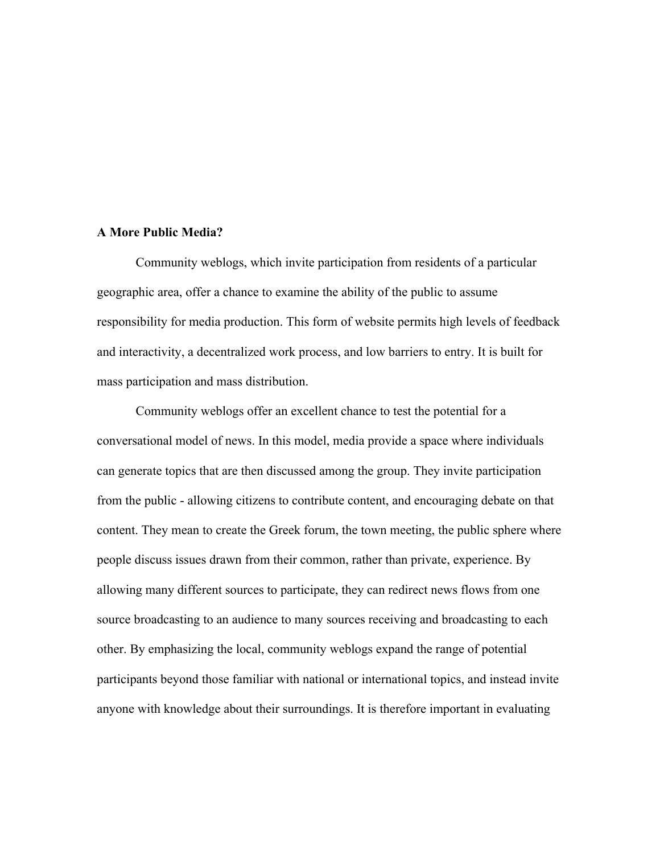# A More Public Media?

Community weblogs, which invite participation from residents of a particular geographic area, offer a chance to examine the ability of the public to assume responsibility for media production. This form of website permits high levels of feedback and interactivity, a decentralized work process, and low barriers to entry. It is built for mass participation and mass distribution.

Community weblogs offer an excellent chance to test the potential for a conversational model of news. In this model, media provide a space where individuals can generate topics that are then discussed among the group. They invite participation from the public - allowing citizens to contribute content, and encouraging debate on that content. They mean to create the Greek forum, the town meeting, the public sphere where people discuss issues drawn from their common, rather than private, experience. By allowing many different sources to participate, they can redirect news flows from one source broadcasting to an audience to many sources receiving and broadcasting to each other. By emphasizing the local, community weblogs expand the range of potential participants beyond those familiar with national or international topics, and instead invite anyone with knowledge about their surroundings. It is therefore important in evaluating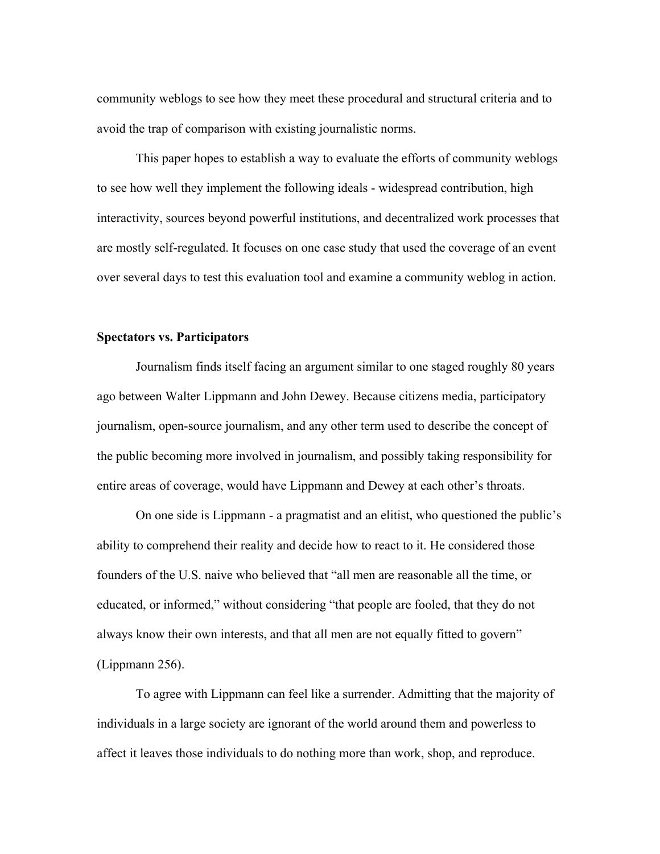community weblogs to see how they meet these procedural and structural criteria and to avoid the trap of comparison with existing journalistic norms.

This paper hopes to establish a way to evaluate the efforts of community weblogs to see how well they implement the following ideals - widespread contribution, high interactivity, sources beyond powerful institutions, and decentralized work processes that are mostly self-regulated. It focuses on one case study that used the coverage of an event over several days to test this evaluation tool and examine a community weblog in action.

# Spectators vs. Participators

Journalism finds itself facing an argument similar to one staged roughly 80 years ago between Walter Lippmann and John Dewey. Because citizens media, participatory journalism, open-source journalism, and any other term used to describe the concept of the public becoming more involved in journalism, and possibly taking responsibility for entire areas of coverage, would have Lippmann and Dewey at each other's throats.

On one side is Lippmann - a pragmatist and an elitist, who questioned the public's ability to comprehend their reality and decide how to react to it. He considered those founders of the U.S. naive who believed that "all men are reasonable all the time, or educated, or informed," without considering "that people are fooled, that they do not always know their own interests, and that all men are not equally fitted to govern" (Lippmann 256).

To agree with Lippmann can feel like a surrender. Admitting that the majority of individuals in a large society are ignorant of the world around them and powerless to affect it leaves those individuals to do nothing more than work, shop, and reproduce.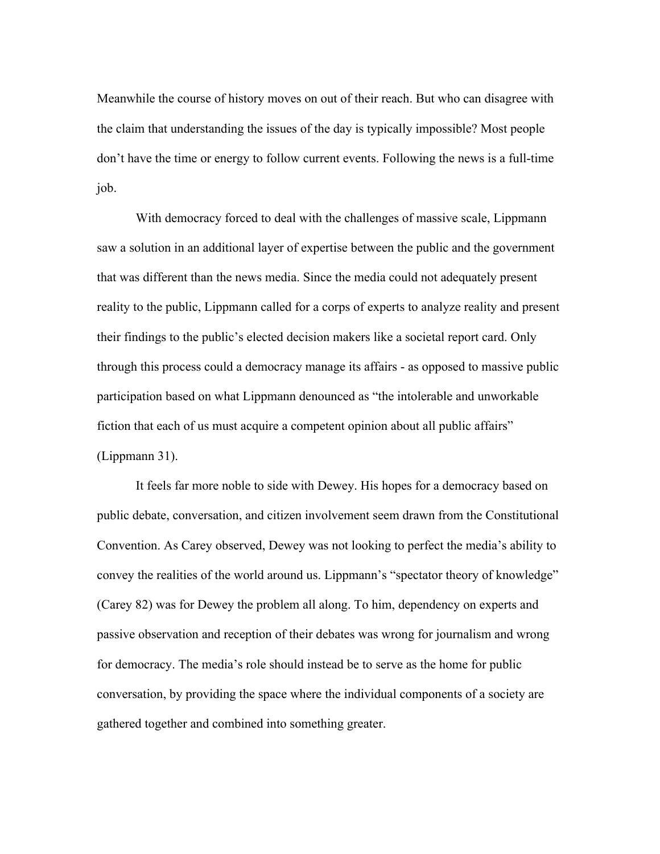Meanwhile the course of history moves on out of their reach. But who can disagree with the claim that understanding the issues of the day is typically impossible? Most people don't have the time or energy to follow current events. Following the news is a full-time job.

With democracy forced to deal with the challenges of massive scale, Lippmann saw a solution in an additional layer of expertise between the public and the government that was different than the news media. Since the media could not adequately present reality to the public, Lippmann called for a corps of experts to analyze reality and present their findings to the public's elected decision makers like a societal report card. Only through this process could a democracy manage its affairs - as opposed to massive public participation based on what Lippmann denounced as "the intolerable and unworkable fiction that each of us must acquire a competent opinion about all public affairs" (Lippmann 31).

It feels far more noble to side with Dewey. His hopes for a democracy based on public debate, conversation, and citizen involvement seem drawn from the Constitutional Convention. As Carey observed, Dewey was not looking to perfect the media's ability to convey the realities of the world around us. Lippmann's "spectator theory of knowledge" (Carey 82) was for Dewey the problem all along. To him, dependency on experts and passive observation and reception of their debates was wrong for journalism and wrong for democracy. The media's role should instead be to serve as the home for public conversation, by providing the space where the individual components of a society are gathered together and combined into something greater.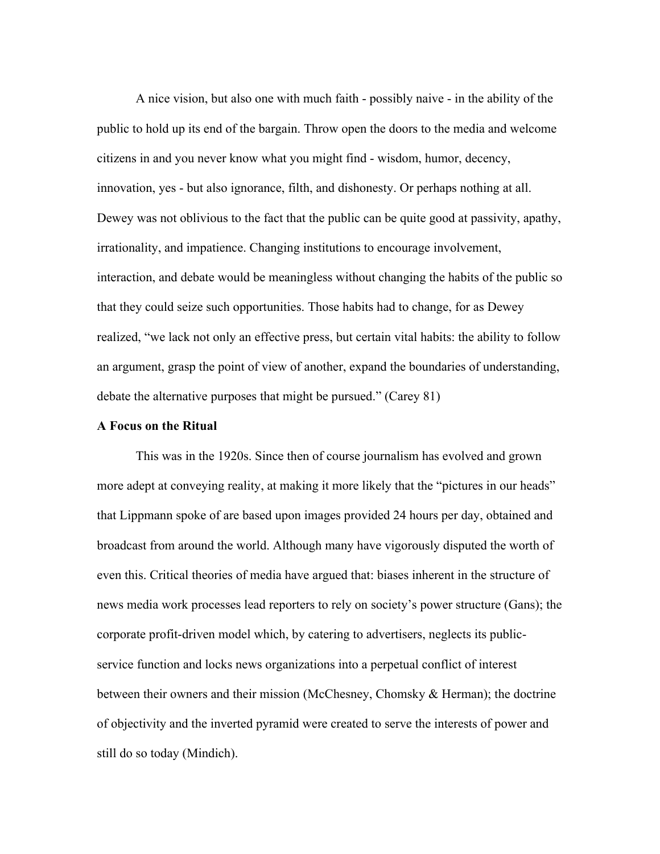A nice vision, but also one with much faith - possibly naive - in the ability of the public to hold up its end of the bargain. Throw open the doors to the media and welcome citizens in and you never know what you might find - wisdom, humor, decency, innovation, yes - but also ignorance, filth, and dishonesty. Or perhaps nothing at all. Dewey was not oblivious to the fact that the public can be quite good at passivity, apathy, irrationality, and impatience. Changing institutions to encourage involvement, interaction, and debate would be meaningless without changing the habits of the public so that they could seize such opportunities. Those habits had to change, for as Dewey realized, "we lack not only an effective press, but certain vital habits: the ability to follow an argument, grasp the point of view of another, expand the boundaries of understanding, debate the alternative purposes that might be pursued." (Carey 81)

## A Focus on the Ritual

This was in the 1920s. Since then of course journalism has evolved and grown more adept at conveying reality, at making it more likely that the "pictures in our heads" that Lippmann spoke of are based upon images provided 24 hours per day, obtained and broadcast from around the world. Although many have vigorously disputed the worth of even this. Critical theories of media have argued that: biases inherent in the structure of news media work processes lead reporters to rely on society's power structure (Gans); the corporate profit-driven model which, by catering to advertisers, neglects its publicservice function and locks news organizations into a perpetual conflict of interest between their owners and their mission (McChesney, Chomsky & Herman); the doctrine of objectivity and the inverted pyramid were created to serve the interests of power and still do so today (Mindich).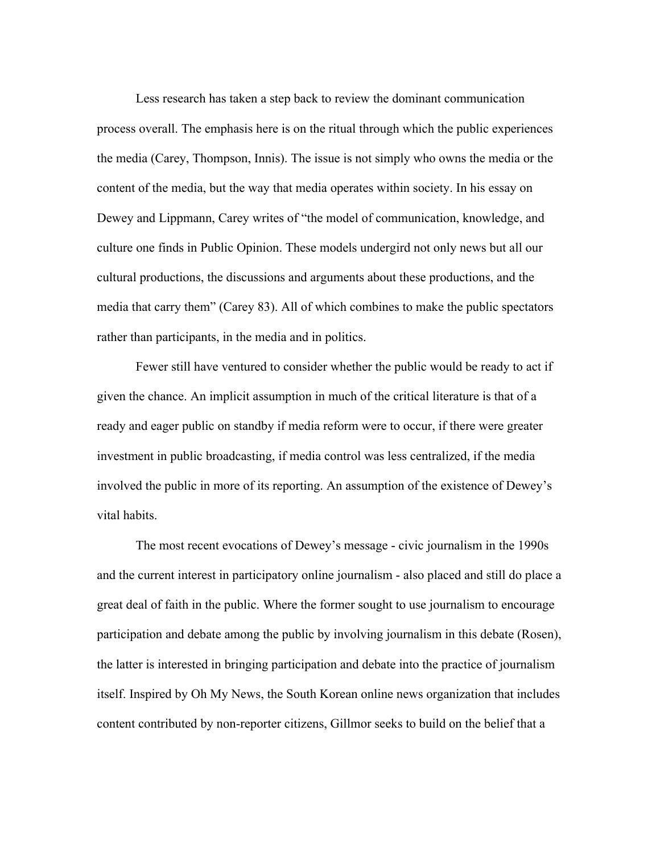Less research has taken a step back to review the dominant communication process overall. The emphasis here is on the ritual through which the public experiences the media (Carey, Thompson, Innis). The issue is not simply who owns the media or the content of the media, but the way that media operates within society. In his essay on Dewey and Lippmann, Carey writes of "the model of communication, knowledge, and culture one finds in Public Opinion. These models undergird not only news but all our cultural productions, the discussions and arguments about these productions, and the media that carry them" (Carey 83). All of which combines to make the public spectators rather than participants, in the media and in politics.

Fewer still have ventured to consider whether the public would be ready to act if given the chance. An implicit assumption in much of the critical literature is that of a ready and eager public on standby if media reform were to occur, if there were greater investment in public broadcasting, if media control was less centralized, if the media involved the public in more of its reporting. An assumption of the existence of Dewey's vital habits.

The most recent evocations of Dewey's message - civic journalism in the 1990s and the current interest in participatory online journalism - also placed and still do place a great deal of faith in the public. Where the former sought to use journalism to encourage participation and debate among the public by involving journalism in this debate (Rosen), the latter is interested in bringing participation and debate into the practice of journalism itself. Inspired by Oh My News, the South Korean online news organization that includes content contributed by non-reporter citizens, Gillmor seeks to build on the belief that a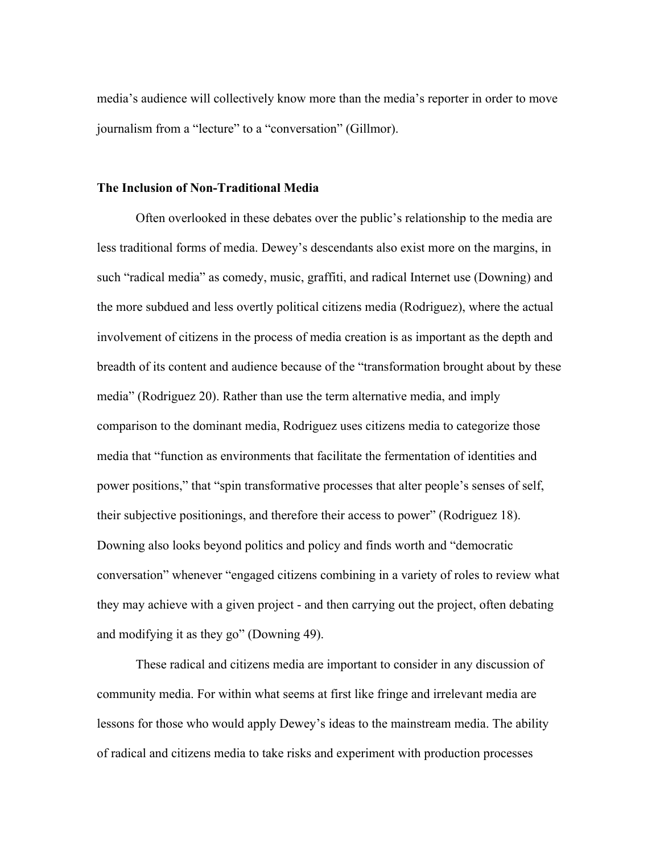media's audience will collectively know more than the media's reporter in order to move journalism from a "lecture" to a "conversation" (Gillmor).

## The Inclusion of Non-Traditional Media

Often overlooked in these debates over the public's relationship to the media are less traditional forms of media. Dewey's descendants also exist more on the margins, in such "radical media" as comedy, music, graffiti, and radical Internet use (Downing) and the more subdued and less overtly political citizens media (Rodriguez), where the actual involvement of citizens in the process of media creation is as important as the depth and breadth of its content and audience because of the "transformation brought about by these media" (Rodriguez 20). Rather than use the term alternative media, and imply comparison to the dominant media, Rodriguez uses citizens media to categorize those media that "function as environments that facilitate the fermentation of identities and power positions," that "spin transformative processes that alter people's senses of self, their subjective positionings, and therefore their access to power" (Rodriguez 18). Downing also looks beyond politics and policy and finds worth and "democratic conversation" whenever "engaged citizens combining in a variety of roles to review what they may achieve with a given project - and then carrying out the project, often debating and modifying it as they go" (Downing 49).

These radical and citizens media are important to consider in any discussion of community media. For within what seems at first like fringe and irrelevant media are lessons for those who would apply Dewey's ideas to the mainstream media. The ability of radical and citizens media to take risks and experiment with production processes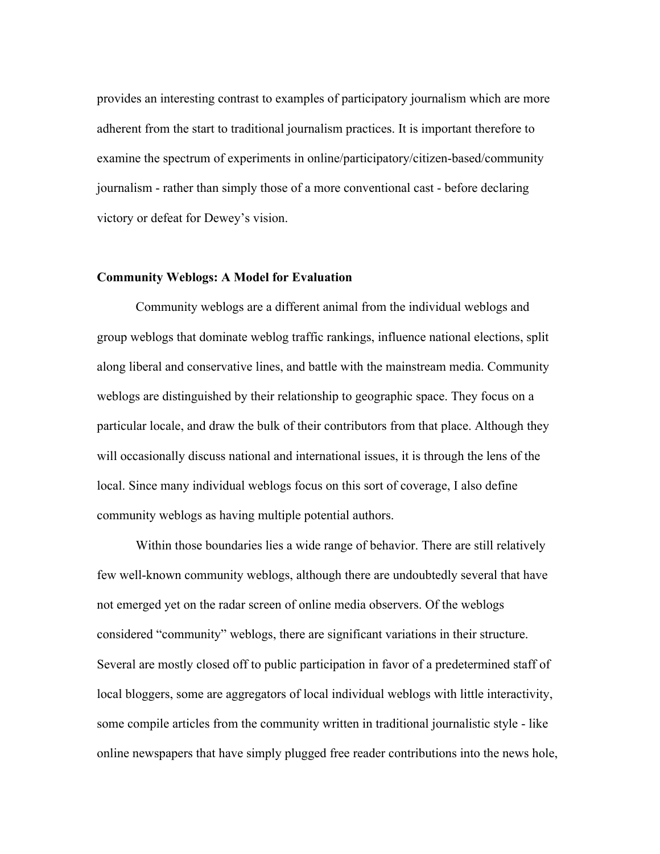provides an interesting contrast to examples of participatory journalism which are more adherent from the start to traditional journalism practices. It is important therefore to examine the spectrum of experiments in online/participatory/citizen-based/community journalism - rather than simply those of a more conventional cast - before declaring victory or defeat for Dewey's vision.

#### Community Weblogs: A Model for Evaluation

Community weblogs are a different animal from the individual weblogs and group weblogs that dominate weblog traffic rankings, influence national elections, split along liberal and conservative lines, and battle with the mainstream media. Community weblogs are distinguished by their relationship to geographic space. They focus on a particular locale, and draw the bulk of their contributors from that place. Although they will occasionally discuss national and international issues, it is through the lens of the local. Since many individual weblogs focus on this sort of coverage, I also define community weblogs as having multiple potential authors.

Within those boundaries lies a wide range of behavior. There are still relatively few well-known community weblogs, although there are undoubtedly several that have not emerged yet on the radar screen of online media observers. Of the weblogs considered "community" weblogs, there are significant variations in their structure. Several are mostly closed off to public participation in favor of a predetermined staff of local bloggers, some are aggregators of local individual weblogs with little interactivity, some compile articles from the community written in traditional journalistic style - like online newspapers that have simply plugged free reader contributions into the news hole,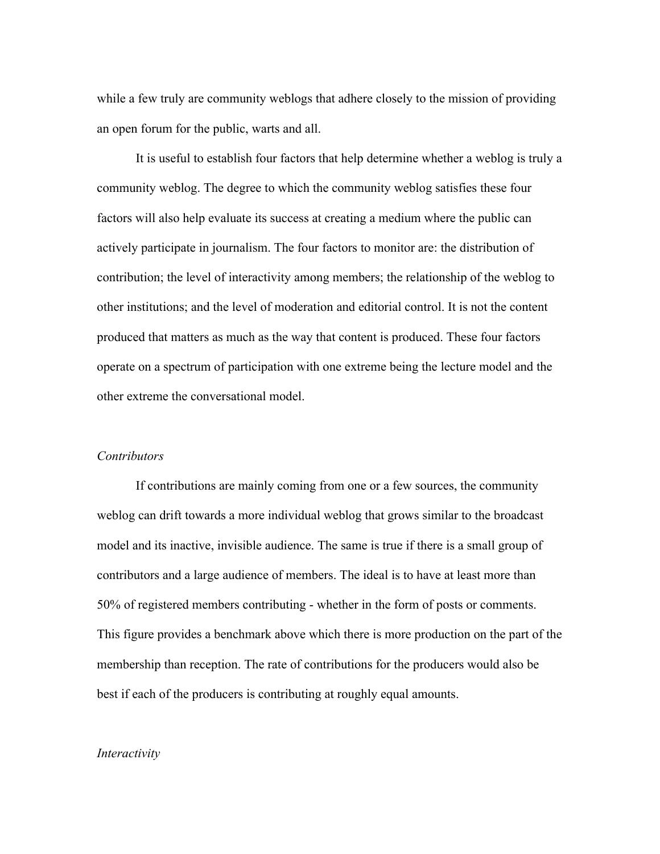while a few truly are community weblogs that adhere closely to the mission of providing an open forum for the public, warts and all.

It is useful to establish four factors that help determine whether a weblog is truly a community weblog. The degree to which the community weblog satisfies these four factors will also help evaluate its success at creating a medium where the public can actively participate in journalism. The four factors to monitor are: the distribution of contribution; the level of interactivity among members; the relationship of the weblog to other institutions; and the level of moderation and editorial control. It is not the content produced that matters as much as the way that content is produced. These four factors operate on a spectrum of participation with one extreme being the lecture model and the other extreme the conversational model.

#### *Contributors*

If contributions are mainly coming from one or a few sources, the community weblog can drift towards a more individual weblog that grows similar to the broadcast model and its inactive, invisible audience. The same is true if there is a small group of contributors and a large audience of members. The ideal is to have at least more than 50% of registered members contributing - whether in the form of posts or comments. This figure provides a benchmark above which there is more production on the part of the membership than reception. The rate of contributions for the producers would also be best if each of the producers is contributing at roughly equal amounts.

# *Interactivity*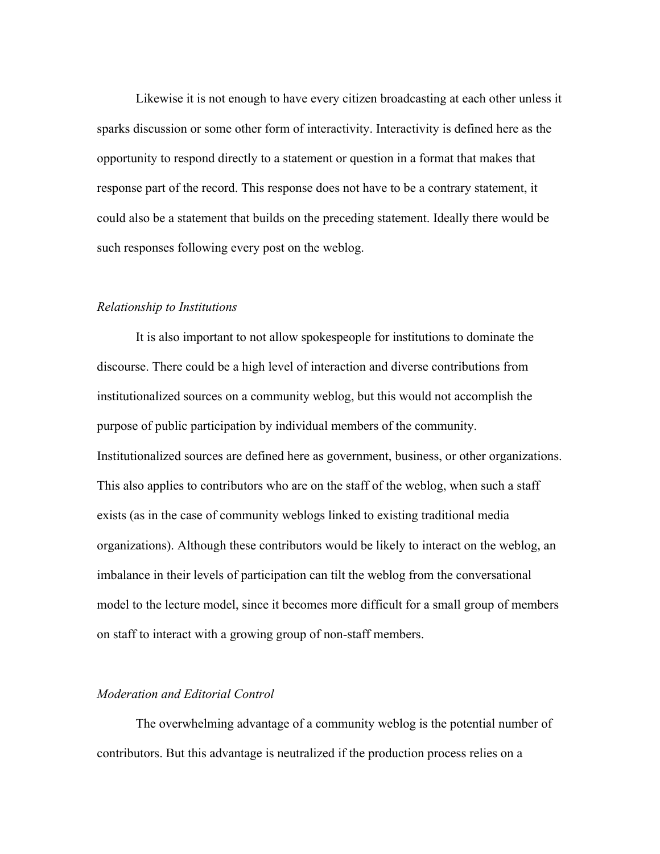Likewise it is not enough to have every citizen broadcasting at each other unless it sparks discussion or some other form of interactivity. Interactivity is defined here as the opportunity to respond directly to a statement or question in a format that makes that response part of the record. This response does not have to be a contrary statement, it could also be a statement that builds on the preceding statement. Ideally there would be such responses following every post on the weblog.

#### *Relationship to Institutions*

It is also important to not allow spokespeople for institutions to dominate the discourse. There could be a high level of interaction and diverse contributions from institutionalized sources on a community weblog, but this would not accomplish the purpose of public participation by individual members of the community. Institutionalized sources are defined here as government, business, or other organizations. This also applies to contributors who are on the staff of the weblog, when such a staff exists (as in the case of community weblogs linked to existing traditional media organizations). Although these contributors would be likely to interact on the weblog, an imbalance in their levels of participation can tilt the weblog from the conversational model to the lecture model, since it becomes more difficult for a small group of members on staff to interact with a growing group of non-staff members.

# *Moderation and Editorial Control*

The overwhelming advantage of a community weblog is the potential number of contributors. But this advantage is neutralized if the production process relies on a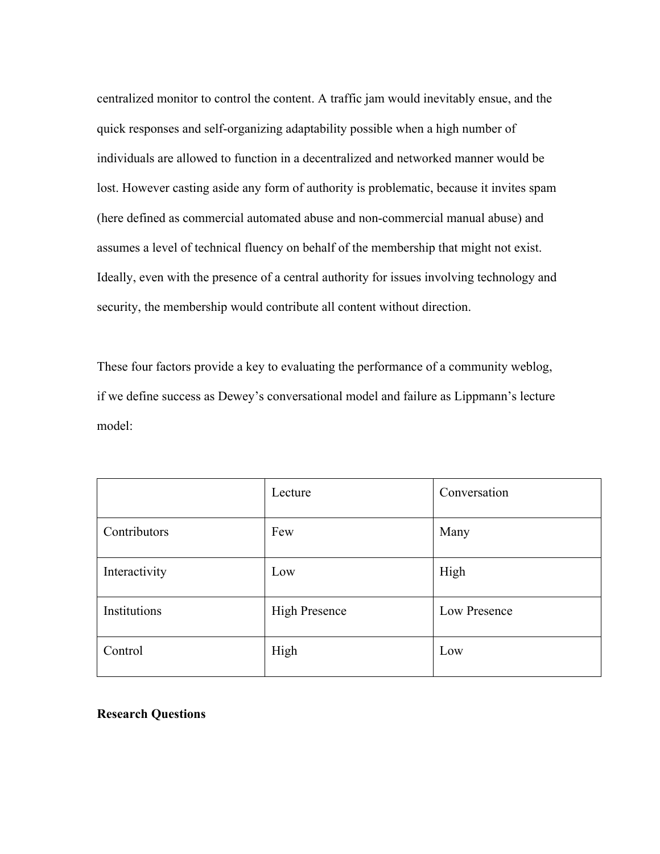centralized monitor to control the content. A traffic jam would inevitably ensue, and the quick responses and self-organizing adaptability possible when a high number of individuals are allowed to function in a decentralized and networked manner would be lost. However casting aside any form of authority is problematic, because it invites spam (here defined as commercial automated abuse and non-commercial manual abuse) and assumes a level of technical fluency on behalf of the membership that might not exist. Ideally, even with the presence of a central authority for issues involving technology and security, the membership would contribute all content without direction.

These four factors provide a key to evaluating the performance of a community weblog, if we define success as Dewey's conversational model and failure as Lippmann's lecture model:

|               | Lecture              | Conversation |
|---------------|----------------------|--------------|
| Contributors  | Few                  | Many         |
| Interactivity | Low                  | High         |
| Institutions  | <b>High Presence</b> | Low Presence |
| Control       | High                 | Low          |

# Research Questions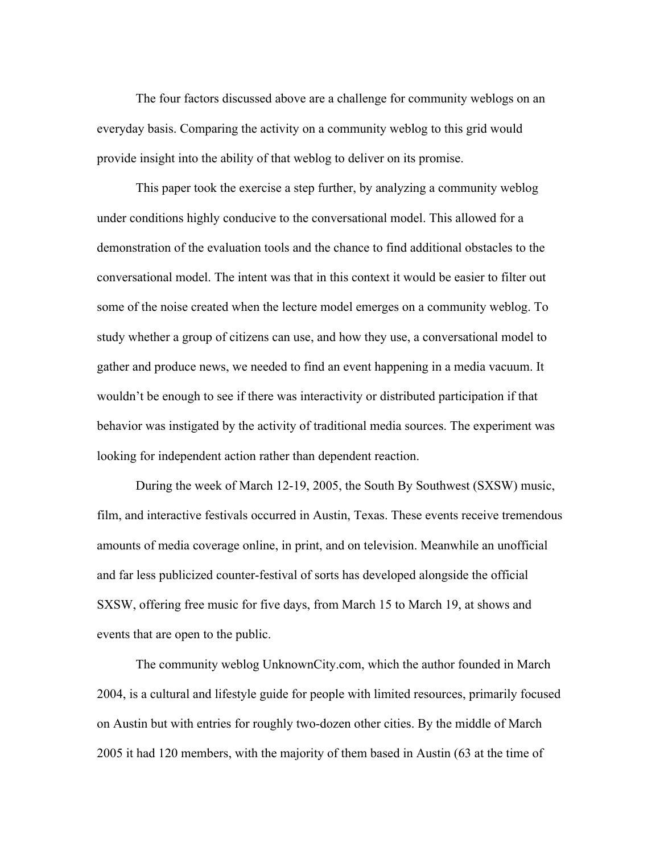The four factors discussed above are a challenge for community weblogs on an everyday basis. Comparing the activity on a community weblog to this grid would provide insight into the ability of that weblog to deliver on its promise.

This paper took the exercise a step further, by analyzing a community weblog under conditions highly conducive to the conversational model. This allowed for a demonstration of the evaluation tools and the chance to find additional obstacles to the conversational model. The intent was that in this context it would be easier to filter out some of the noise created when the lecture model emerges on a community weblog. To study whether a group of citizens can use, and how they use, a conversational model to gather and produce news, we needed to find an event happening in a media vacuum. It wouldn't be enough to see if there was interactivity or distributed participation if that behavior was instigated by the activity of traditional media sources. The experiment was looking for independent action rather than dependent reaction.

During the week of March 12-19, 2005, the South By Southwest (SXSW) music, film, and interactive festivals occurred in Austin, Texas. These events receive tremendous amounts of media coverage online, in print, and on television. Meanwhile an unofficial and far less publicized counter-festival of sorts has developed alongside the official SXSW, offering free music for five days, from March 15 to March 19, at shows and events that are open to the public.

The community weblog UnknownCity.com, which the author founded in March 2004, is a cultural and lifestyle guide for people with limited resources, primarily focused on Austin but with entries for roughly two-dozen other cities. By the middle of March 2005 it had 120 members, with the majority of them based in Austin (63 at the time of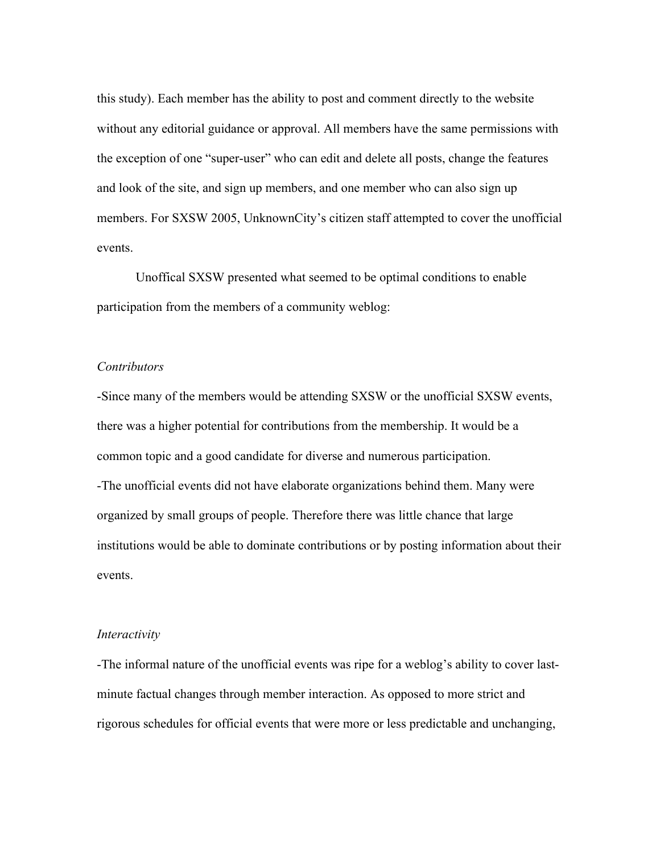this study). Each member has the ability to post and comment directly to the website without any editorial guidance or approval. All members have the same permissions with the exception of one "super-user" who can edit and delete all posts, change the features and look of the site, and sign up members, and one member who can also sign up members. For SXSW 2005, UnknownCity's citizen staff attempted to cover the unofficial events.

Unoffical SXSW presented what seemed to be optimal conditions to enable participation from the members of a community weblog:

# *Contributors*

-Since many of the members would be attending SXSW or the unofficial SXSW events, there was a higher potential for contributions from the membership. It would be a common topic and a good candidate for diverse and numerous participation. -The unofficial events did not have elaborate organizations behind them. Many were organized by small groups of people. Therefore there was little chance that large institutions would be able to dominate contributions or by posting information about their events.

# *Interactivity*

-The informal nature of the unofficial events was ripe for a weblog's ability to cover lastminute factual changes through member interaction. As opposed to more strict and rigorous schedules for official events that were more or less predictable and unchanging,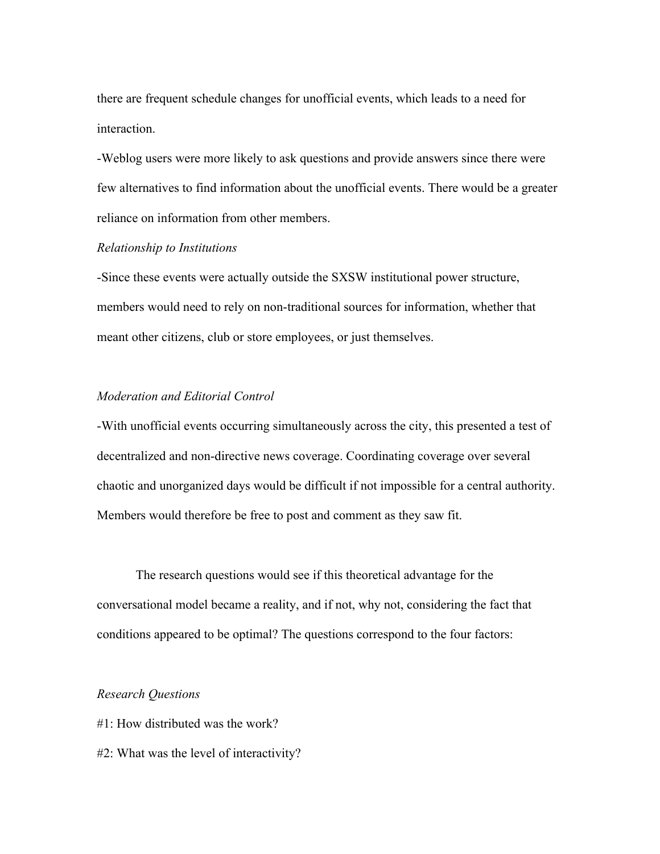there are frequent schedule changes for unofficial events, which leads to a need for interaction.

-Weblog users were more likely to ask questions and provide answers since there were few alternatives to find information about the unofficial events. There would be a greater reliance on information from other members.

#### *Relationship to Institutions*

-Since these events were actually outside the SXSW institutional power structure, members would need to rely on non-traditional sources for information, whether that meant other citizens, club or store employees, or just themselves.

# *Moderation and Editorial Control*

-With unofficial events occurring simultaneously across the city, this presented a test of decentralized and non-directive news coverage. Coordinating coverage over several chaotic and unorganized days would be difficult if not impossible for a central authority. Members would therefore be free to post and comment as they saw fit.

The research questions would see if this theoretical advantage for the conversational model became a reality, and if not, why not, considering the fact that conditions appeared to be optimal? The questions correspond to the four factors:

## *Research Questions*

- #1: How distributed was the work?
- #2: What was the level of interactivity?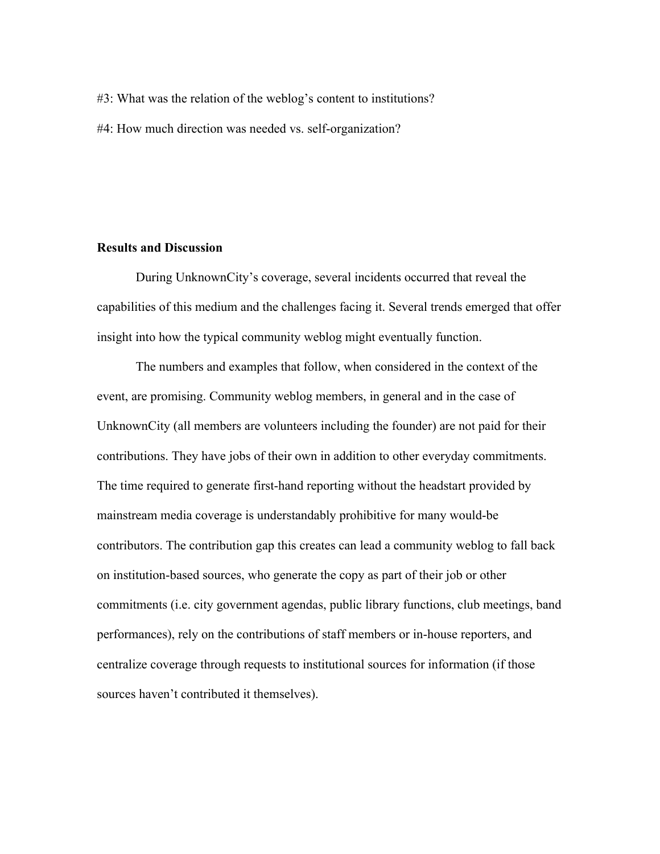- #3: What was the relation of the weblog's content to institutions?
- #4: How much direction was needed vs. self-organization?

### Results and Discussion

During UnknownCity's coverage, several incidents occurred that reveal the capabilities of this medium and the challenges facing it. Several trends emerged that offer insight into how the typical community weblog might eventually function.

The numbers and examples that follow, when considered in the context of the event, are promising. Community weblog members, in general and in the case of UnknownCity (all members are volunteers including the founder) are not paid for their contributions. They have jobs of their own in addition to other everyday commitments. The time required to generate first-hand reporting without the headstart provided by mainstream media coverage is understandably prohibitive for many would-be contributors. The contribution gap this creates can lead a community weblog to fall back on institution-based sources, who generate the copy as part of their job or other commitments (i.e. city government agendas, public library functions, club meetings, band performances), rely on the contributions of staff members or in-house reporters, and centralize coverage through requests to institutional sources for information (if those sources haven't contributed it themselves).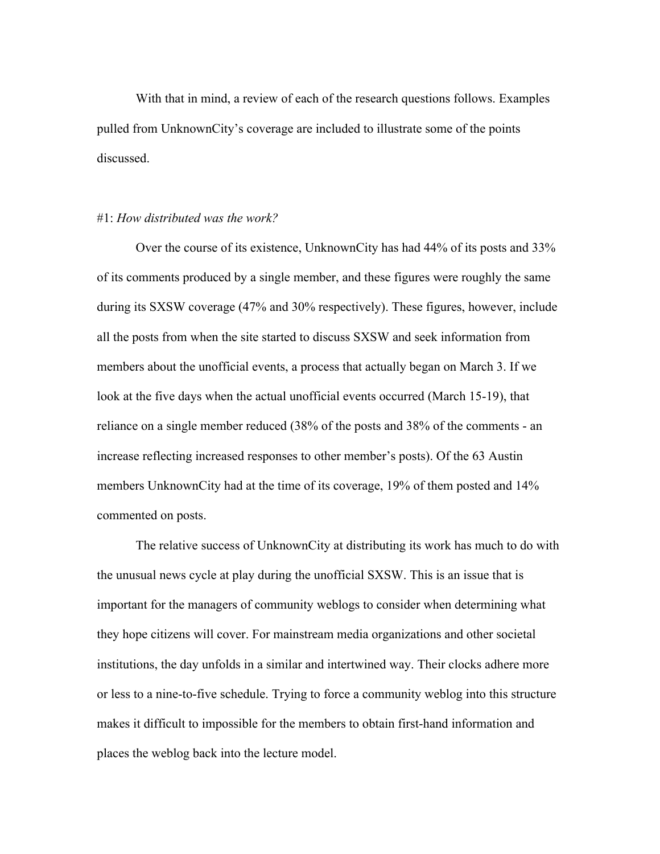With that in mind, a review of each of the research questions follows. Examples pulled from UnknownCity's coverage are included to illustrate some of the points discussed.

#### #1: *How distributed was the work?*

Over the course of its existence, UnknownCity has had 44% of its posts and 33% of its comments produced by a single member, and these figures were roughly the same during its SXSW coverage (47% and 30% respectively). These figures, however, include all the posts from when the site started to discuss SXSW and seek information from members about the unofficial events, a process that actually began on March 3. If we look at the five days when the actual unofficial events occurred (March 15-19), that reliance on a single member reduced (38% of the posts and 38% of the comments - an increase reflecting increased responses to other member's posts). Of the 63 Austin members UnknownCity had at the time of its coverage, 19% of them posted and 14% commented on posts.

The relative success of UnknownCity at distributing its work has much to do with the unusual news cycle at play during the unofficial SXSW. This is an issue that is important for the managers of community weblogs to consider when determining what they hope citizens will cover. For mainstream media organizations and other societal institutions, the day unfolds in a similar and intertwined way. Their clocks adhere more or less to a nine-to-five schedule. Trying to force a community weblog into this structure makes it difficult to impossible for the members to obtain first-hand information and places the weblog back into the lecture model.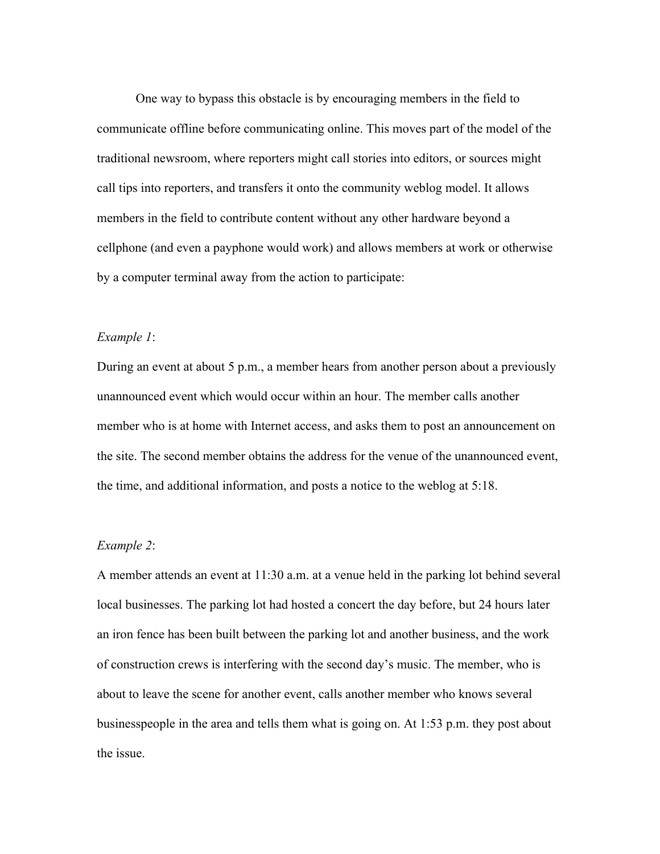One way to bypass this obstacle is by encouraging members in the field to communicate offline before communicating online. This moves part of the model of the traditional newsroom, where reporters might call stories into editors, or sources might call tips into reporters, and transfers it onto the community weblog model. It allows members in the field to contribute content without any other hardware beyond a cellphone (and even a payphone would work) and allows members at work or otherwise by a computer terminal away from the action to participate:

# *Example 1*:

During an event at about 5 p.m., a member hears from another person about a previously unannounced event which would occur within an hour. The member calls another member who is at home with Internet access, and asks them to post an announcement on the site. The second member obtains the address for the venue of the unannounced event, the time, and additional information, and posts a notice to the weblog at 5:18.

## *Example 2*:

A member attends an event at 11:30 a.m. at a venue held in the parking lot behind several local businesses. The parking lot had hosted a concert the day before, but 24 hours later an iron fence has been built between the parking lot and another business, and the work of construction crews is interfering with the second day's music. The member, who is about to leave the scene for another event, calls another member who knows several businesspeople in the area and tells them what is going on. At 1:53 p.m. they post about the issue.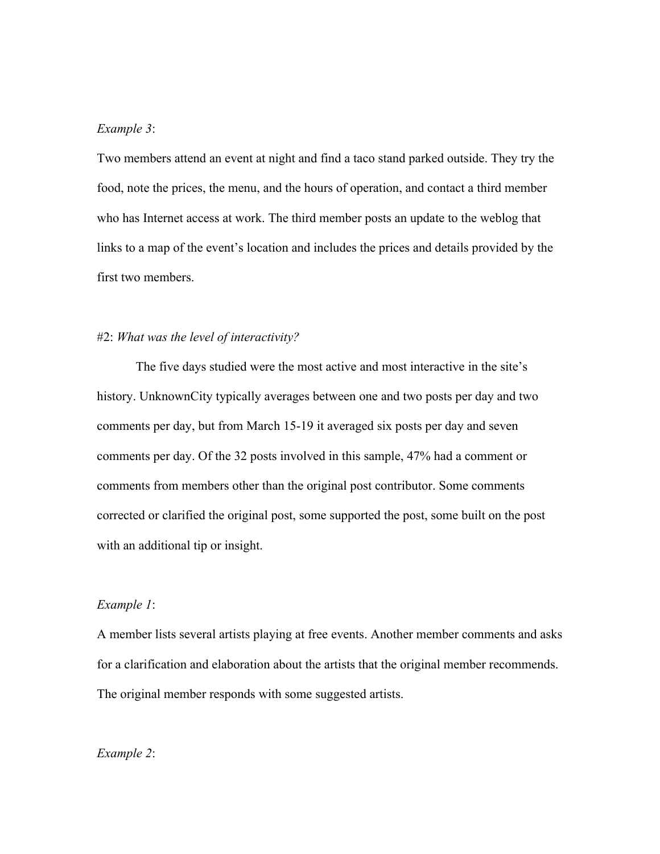#### *Example 3*:

Two members attend an event at night and find a taco stand parked outside. They try the food, note the prices, the menu, and the hours of operation, and contact a third member who has Internet access at work. The third member posts an update to the weblog that links to a map of the event's location and includes the prices and details provided by the first two members.

## #2: *What was the level of interactivity?*

The five days studied were the most active and most interactive in the site's history. UnknownCity typically averages between one and two posts per day and two comments per day, but from March 15-19 it averaged six posts per day and seven comments per day. Of the 32 posts involved in this sample, 47% had a comment or comments from members other than the original post contributor. Some comments corrected or clarified the original post, some supported the post, some built on the post with an additional tip or insight.

# *Example 1*:

A member lists several artists playing at free events. Another member comments and asks for a clarification and elaboration about the artists that the original member recommends. The original member responds with some suggested artists.

# *Example 2*: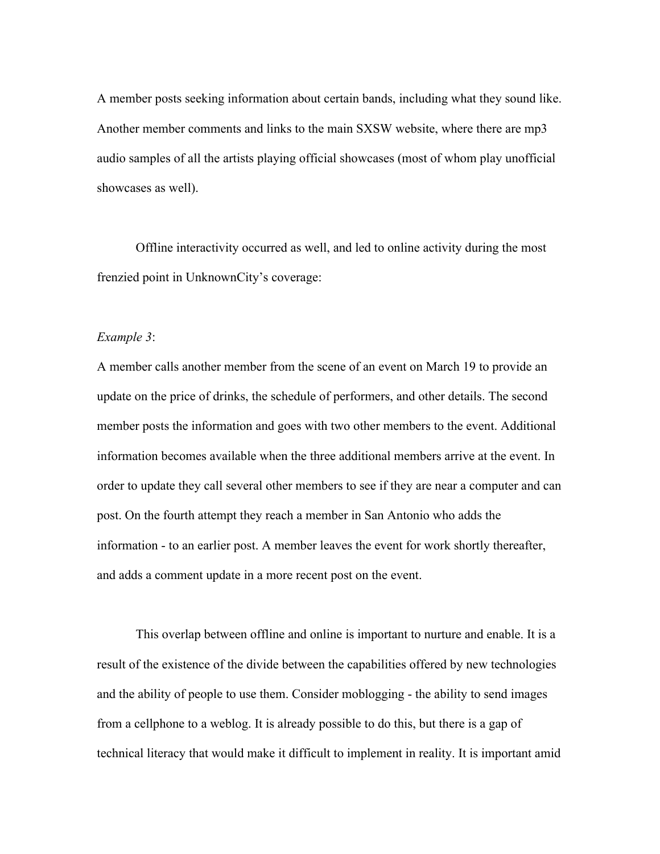A member posts seeking information about certain bands, including what they sound like. Another member comments and links to the main SXSW website, where there are mp3 audio samples of all the artists playing official showcases (most of whom play unofficial showcases as well).

Offline interactivity occurred as well, and led to online activity during the most frenzied point in UnknownCity's coverage:

# *Example 3*:

A member calls another member from the scene of an event on March 19 to provide an update on the price of drinks, the schedule of performers, and other details. The second member posts the information and goes with two other members to the event. Additional information becomes available when the three additional members arrive at the event. In order to update they call several other members to see if they are near a computer and can post. On the fourth attempt they reach a member in San Antonio who adds the information - to an earlier post. A member leaves the event for work shortly thereafter, and adds a comment update in a more recent post on the event.

This overlap between offline and online is important to nurture and enable. It is a result of the existence of the divide between the capabilities offered by new technologies and the ability of people to use them. Consider moblogging - the ability to send images from a cellphone to a weblog. It is already possible to do this, but there is a gap of technical literacy that would make it difficult to implement in reality. It is important amid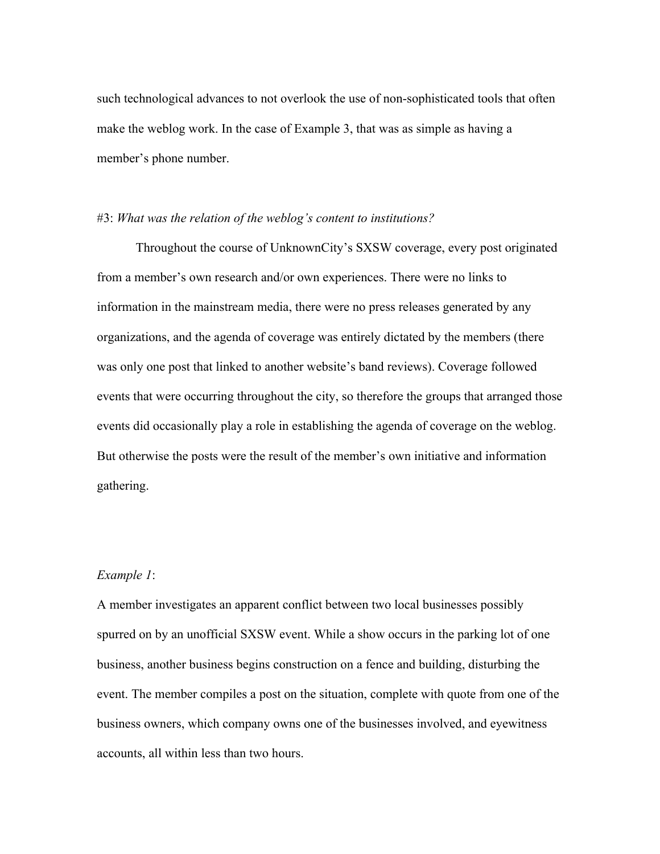such technological advances to not overlook the use of non-sophisticated tools that often make the weblog work. In the case of Example 3, that was as simple as having a member's phone number.

## #3: *What was the relation of the weblog's content to institutions?*

Throughout the course of UnknownCity's SXSW coverage, every post originated from a member's own research and/or own experiences. There were no links to information in the mainstream media, there were no press releases generated by any organizations, and the agenda of coverage was entirely dictated by the members (there was only one post that linked to another website's band reviews). Coverage followed events that were occurring throughout the city, so therefore the groups that arranged those events did occasionally play a role in establishing the agenda of coverage on the weblog. But otherwise the posts were the result of the member's own initiative and information gathering.

# *Example 1*:

A member investigates an apparent conflict between two local businesses possibly spurred on by an unofficial SXSW event. While a show occurs in the parking lot of one business, another business begins construction on a fence and building, disturbing the event. The member compiles a post on the situation, complete with quote from one of the business owners, which company owns one of the businesses involved, and eyewitness accounts, all within less than two hours.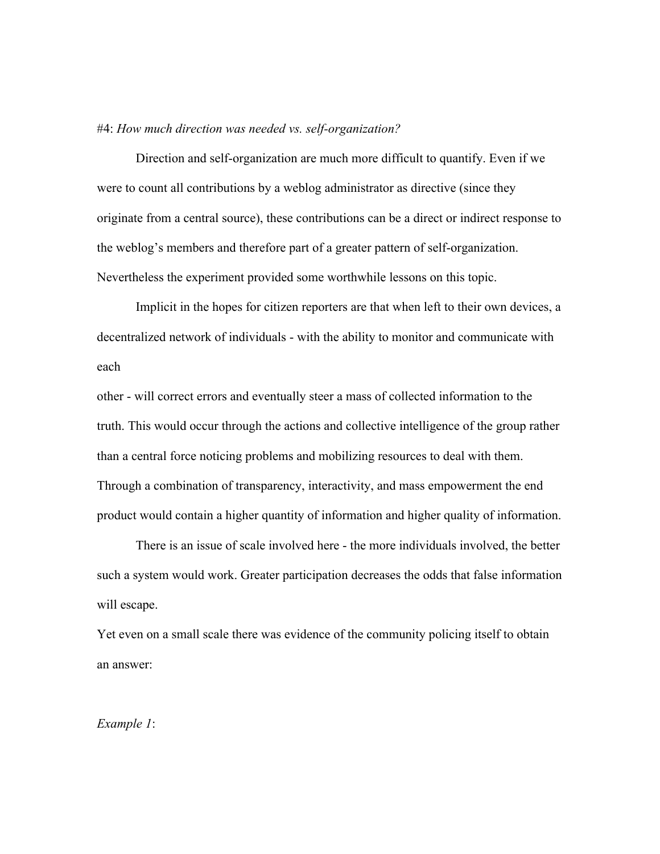#### #4: *How much direction was needed vs. self-organization?*

Direction and self-organization are much more difficult to quantify. Even if we were to count all contributions by a weblog administrator as directive (since they originate from a central source), these contributions can be a direct or indirect response to the weblog's members and therefore part of a greater pattern of self-organization. Nevertheless the experiment provided some worthwhile lessons on this topic.

Implicit in the hopes for citizen reporters are that when left to their own devices, a decentralized network of individuals - with the ability to monitor and communicate with each

other - will correct errors and eventually steer a mass of collected information to the truth. This would occur through the actions and collective intelligence of the group rather than a central force noticing problems and mobilizing resources to deal with them. Through a combination of transparency, interactivity, and mass empowerment the end product would contain a higher quantity of information and higher quality of information.

There is an issue of scale involved here - the more individuals involved, the better such a system would work. Greater participation decreases the odds that false information will escape.

Yet even on a small scale there was evidence of the community policing itself to obtain an answer:

*Example 1*: